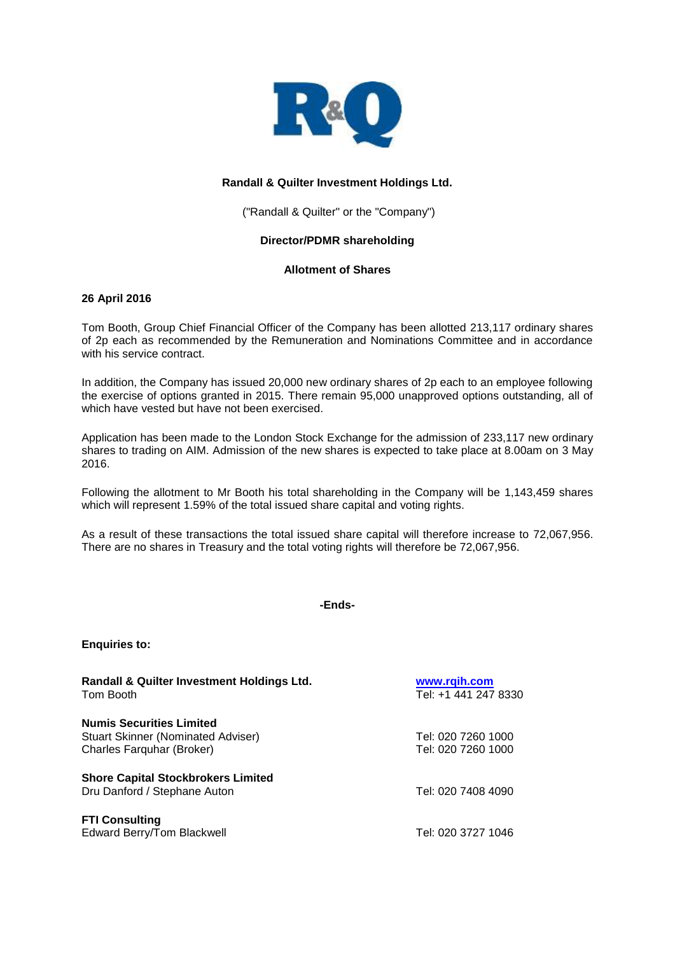

# **Randall & Quilter Investment Holdings Ltd.**

("Randall & Quilter" or the "Company")

## **Director/PDMR shareholding**

## **Allotment of Shares**

## **26 April 2016**

Tom Booth, Group Chief Financial Officer of the Company has been allotted 213,117 ordinary shares of 2p each as recommended by the Remuneration and Nominations Committee and in accordance with his service contract.

In addition, the Company has issued 20,000 new ordinary shares of 2p each to an employee following the exercise of options granted in 2015. There remain 95,000 unapproved options outstanding, all of which have vested but have not been exercised.

Application has been made to the London Stock Exchange for the admission of 233,117 new ordinary shares to trading on AIM. Admission of the new shares is expected to take place at 8.00am on 3 May 2016.

Following the allotment to Mr Booth his total shareholding in the Company will be 1,143,459 shares which will represent 1.59% of the total issued share capital and voting rights.

As a result of these transactions the total issued share capital will therefore increase to 72,067,956. There are no shares in Treasury and the total voting rights will therefore be 72,067,956.

**-Ends-**

| Randall & Quilter Investment Holdings Ltd.<br>Tom Booth | www.rqih.com<br>Tel: +1 441 247 8330 |
|---------------------------------------------------------|--------------------------------------|
| <b>Numis Securities Limited</b>                         |                                      |
| <b>Stuart Skinner (Nominated Adviser)</b>               | Tel: 020 7260 1000                   |
| Charles Farquhar (Broker)                               | Tel: 020 7260 1000                   |
| <b>Shore Capital Stockbrokers Limited</b>               |                                      |
| Dru Danford / Stephane Auton                            | Tel: 020 7408 4090                   |
| <b>FTI Consulting</b>                                   |                                      |
| Edward Berry/Tom Blackwell                              | Tel: 020 3727 1046                   |